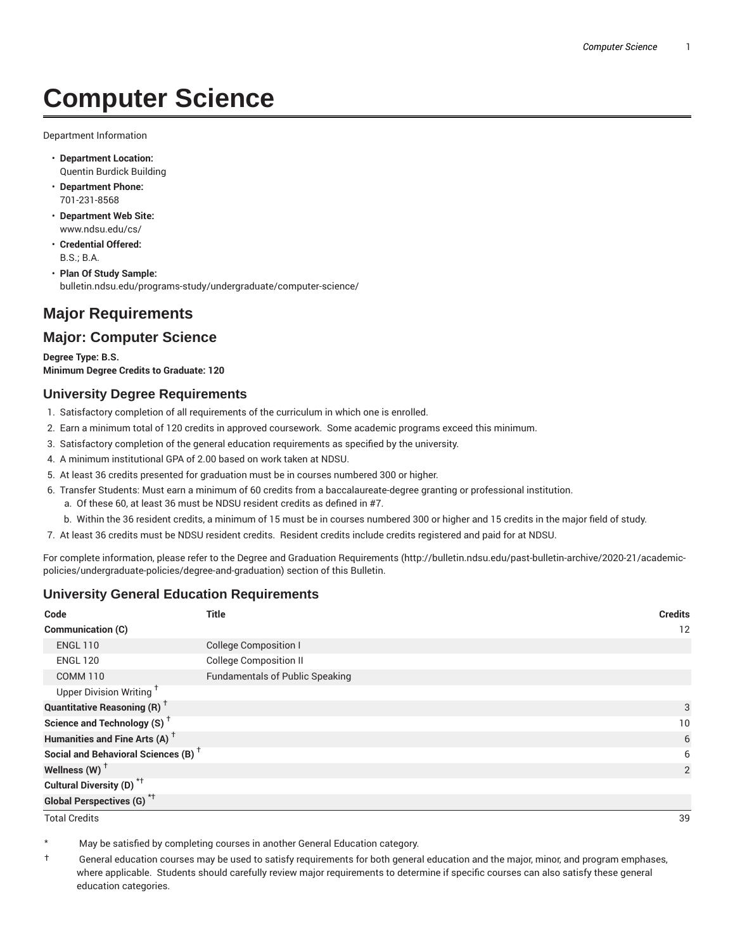# **Computer Science**

Department Information

- **Department Location:** Quentin Burdick Building
- **Department Phone:** 701-231-8568
- **Department Web Site:** www.ndsu.edu/cs/
- **Credential Offered:** B.S.; B.A.
- **Plan Of Study Sample:** bulletin.ndsu.edu/programs-study/undergraduate/computer-science/

## **Major Requirements**

## **Major: Computer Science**

**Degree Type: B.S. Minimum Degree Credits to Graduate: 120**

#### **University Degree Requirements**

- 1. Satisfactory completion of all requirements of the curriculum in which one is enrolled.
- 2. Earn a minimum total of 120 credits in approved coursework. Some academic programs exceed this minimum.
- 3. Satisfactory completion of the general education requirements as specified by the university.
- 4. A minimum institutional GPA of 2.00 based on work taken at NDSU.
- 5. At least 36 credits presented for graduation must be in courses numbered 300 or higher.
- 6. Transfer Students: Must earn a minimum of 60 credits from a baccalaureate-degree granting or professional institution.
	- a. Of these 60, at least 36 must be NDSU resident credits as defined in #7.
	- b. Within the 36 resident credits, a minimum of 15 must be in courses numbered 300 or higher and 15 credits in the major field of study.
- 7. At least 36 credits must be NDSU resident credits. Resident credits include credits registered and paid for at NDSU.

For complete information, please refer to the Degree and Graduation Requirements (http://bulletin.ndsu.edu/past-bulletin-archive/2020-21/academicpolicies/undergraduate-policies/degree-and-graduation) section of this Bulletin.

### **University General Education Requirements**

| Code                                            | <b>Title</b>                           | <b>Credits</b>  |
|-------------------------------------------------|----------------------------------------|-----------------|
| <b>Communication (C)</b>                        |                                        | 12              |
| <b>ENGL 110</b>                                 | <b>College Composition I</b>           |                 |
| <b>ENGL 120</b>                                 | <b>College Composition II</b>          |                 |
| <b>COMM 110</b>                                 | <b>Fundamentals of Public Speaking</b> |                 |
| Upper Division Writing <sup>+</sup>             |                                        |                 |
| <b>Quantitative Reasoning (R)</b> <sup>†</sup>  |                                        | 3               |
| Science and Technology (S) <sup>+</sup>         |                                        | 10 <sup>°</sup> |
| Humanities and Fine Arts (A) <sup>+</sup>       |                                        | 6               |
| Social and Behavioral Sciences (B) <sup>+</sup> |                                        | 6               |
| Wellness $(W)$ <sup>+</sup>                     |                                        | 2               |
| Cultural Diversity (D) <sup>*†</sup>            |                                        |                 |
| <b>Global Perspectives (G)<sup>*†</sup></b>     |                                        |                 |

Total Credits 39

May be satisfied by completing courses in another General Education category.

† General education courses may be used to satisfy requirements for both general education and the major, minor, and program emphases, where applicable. Students should carefully review major requirements to determine if specific courses can also satisfy these general education categories.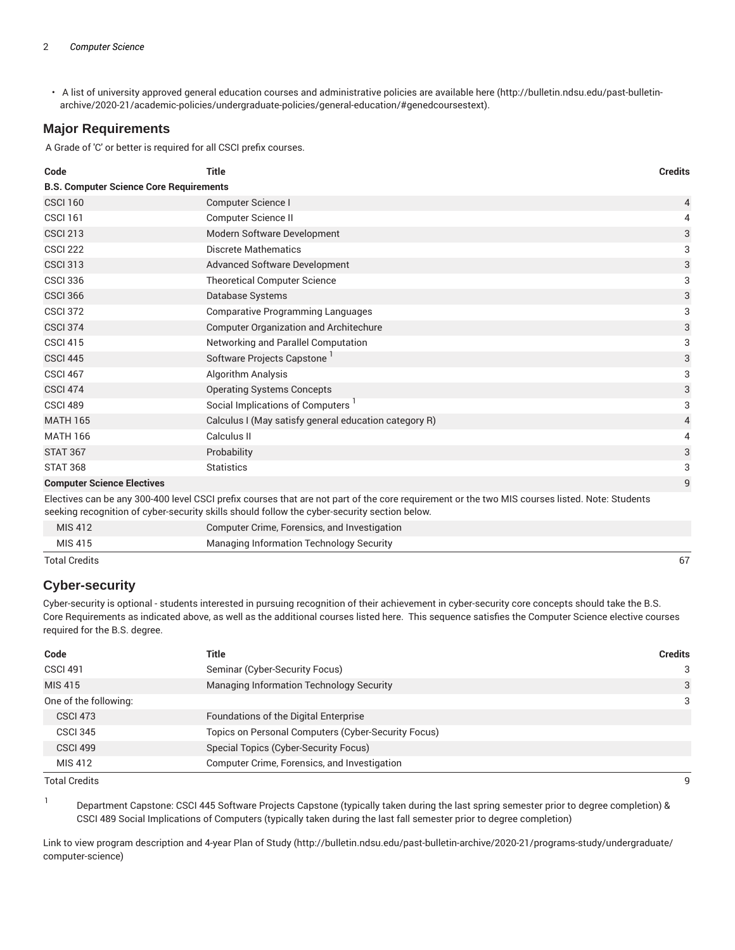• A list of university approved general education courses and administrative policies are available here (http://bulletin.ndsu.edu/past-bulletinarchive/2020-21/academic-policies/undergraduate-policies/general-education/#genedcoursestext).

#### **Major Requirements**

A Grade of 'C' or better is required for all CSCI prefix courses.

| Code                                                                                                                                                                                                                                           | <b>Title</b>                                          | <b>Credits</b> |
|------------------------------------------------------------------------------------------------------------------------------------------------------------------------------------------------------------------------------------------------|-------------------------------------------------------|----------------|
| <b>B.S. Computer Science Core Requirements</b>                                                                                                                                                                                                 |                                                       |                |
| <b>CSCI 160</b>                                                                                                                                                                                                                                | Computer Science I                                    | 4              |
| <b>CSCI 161</b>                                                                                                                                                                                                                                | <b>Computer Science II</b>                            | 4              |
| <b>CSCI 213</b>                                                                                                                                                                                                                                | Modern Software Development                           | 3              |
| <b>CSCI 222</b>                                                                                                                                                                                                                                | <b>Discrete Mathematics</b>                           | 3              |
| <b>CSCI 313</b>                                                                                                                                                                                                                                | <b>Advanced Software Development</b>                  | 3              |
| <b>CSCI 336</b>                                                                                                                                                                                                                                | <b>Theoretical Computer Science</b>                   | 3              |
| <b>CSCI 366</b>                                                                                                                                                                                                                                | Database Systems                                      | 3              |
| <b>CSCI 372</b>                                                                                                                                                                                                                                | <b>Comparative Programming Languages</b>              | 3              |
| <b>CSCI 374</b>                                                                                                                                                                                                                                | <b>Computer Organization and Architechure</b>         | 3              |
| <b>CSCI 415</b>                                                                                                                                                                                                                                | Networking and Parallel Computation                   | 3              |
| <b>CSCI 445</b>                                                                                                                                                                                                                                | Software Projects Capstone                            | 3              |
| <b>CSCI 467</b>                                                                                                                                                                                                                                | <b>Algorithm Analysis</b>                             | 3              |
| <b>CSCI 474</b>                                                                                                                                                                                                                                | <b>Operating Systems Concepts</b>                     | 3              |
| <b>CSCI 489</b>                                                                                                                                                                                                                                | Social Implications of Computers                      | 3              |
| <b>MATH 165</b>                                                                                                                                                                                                                                | Calculus I (May satisfy general education category R) | $\overline{4}$ |
| <b>MATH 166</b>                                                                                                                                                                                                                                | Calculus II                                           | 4              |
| <b>STAT 367</b>                                                                                                                                                                                                                                | Probability                                           | 3              |
| <b>STAT 368</b>                                                                                                                                                                                                                                | <b>Statistics</b>                                     | 3              |
| <b>Computer Science Electives</b>                                                                                                                                                                                                              |                                                       | 9              |
| Electives can be any 300-400 level CSCI prefix courses that are not part of the core requirement or the two MIS courses listed. Note: Students<br>seeking recognition of cyber-security skills should follow the cyber-security section below. |                                                       |                |
| <b>MIS 412</b>                                                                                                                                                                                                                                 | Computer Crime, Forensics, and Investigation          |                |
| <b>MIS415</b>                                                                                                                                                                                                                                  | Managing Information Technology Security              |                |

Total Credits 67

#### **Cyber-security**

Cyber-security is optional - students interested in pursuing recognition of their achievement in cyber-security core concepts should take the B.S. Core Requirements as indicated above, as well as the additional courses listed here. This sequence satisfies the Computer Science elective courses required for the B.S. degree.

| Code                  | <b>Title</b>                                        | <b>Credits</b> |
|-----------------------|-----------------------------------------------------|----------------|
| <b>CSCI 491</b>       | Seminar (Cyber-Security Focus)                      | 3              |
| MIS 415               | Managing Information Technology Security            | 3              |
| One of the following: |                                                     | 3              |
| <b>CSCI 473</b>       | Foundations of the Digital Enterprise               |                |
| <b>CSCI 345</b>       | Topics on Personal Computers (Cyber-Security Focus) |                |
| <b>CSCI 499</b>       | Special Topics (Cyber-Security Focus)               |                |
| MIS 412               | Computer Crime, Forensics, and Investigation        |                |

Total Credits 9

1

Department Capstone: CSCI 445 Software Projects Capstone (typically taken during the last spring semester prior to degree completion) & CSCI 489 Social Implications of Computers (typically taken during the last fall semester prior to degree completion)

Link to view program description and 4-year Plan of Study (http://bulletin.ndsu.edu/past-bulletin-archive/2020-21/programs-study/undergraduate/ computer-science)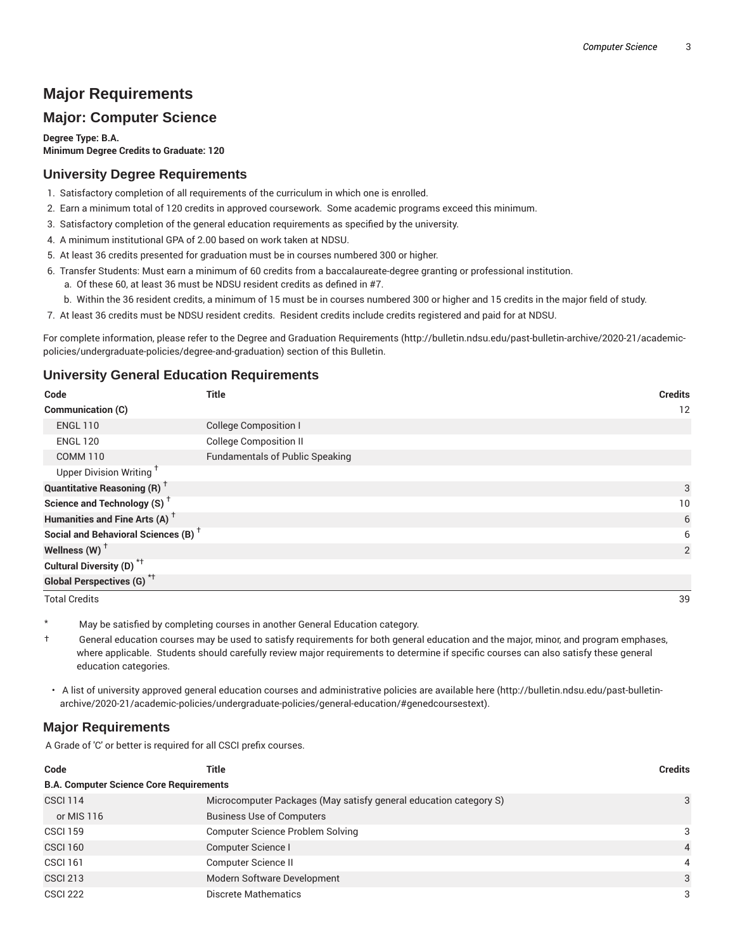## **Major Requirements**

## **Major: Computer Science**

**Degree Type: B.A. Minimum Degree Credits to Graduate: 120**

#### **University Degree Requirements**

- 1. Satisfactory completion of all requirements of the curriculum in which one is enrolled.
- 2. Earn a minimum total of 120 credits in approved coursework. Some academic programs exceed this minimum.
- 3. Satisfactory completion of the general education requirements as specified by the university.
- 4. A minimum institutional GPA of 2.00 based on work taken at NDSU.
- 5. At least 36 credits presented for graduation must be in courses numbered 300 or higher.
- 6. Transfer Students: Must earn a minimum of 60 credits from a baccalaureate-degree granting or professional institution.
	- a. Of these 60, at least 36 must be NDSU resident credits as defined in #7.
	- b. Within the 36 resident credits, a minimum of 15 must be in courses numbered 300 or higher and 15 credits in the major field of study.
- 7. At least 36 credits must be NDSU resident credits. Resident credits include credits registered and paid for at NDSU.

For complete information, please refer to the Degree and Graduation Requirements (http://bulletin.ndsu.edu/past-bulletin-archive/2020-21/academicpolicies/undergraduate-policies/degree-and-graduation) section of this Bulletin.

#### **University General Education Requirements**

| Code                                            | Title                                  | <b>Credits</b> |
|-------------------------------------------------|----------------------------------------|----------------|
| <b>Communication (C)</b>                        |                                        | 12             |
| <b>ENGL 110</b>                                 | <b>College Composition I</b>           |                |
| <b>ENGL 120</b>                                 | <b>College Composition II</b>          |                |
| <b>COMM 110</b>                                 | <b>Fundamentals of Public Speaking</b> |                |
| Upper Division Writing <sup>+</sup>             |                                        |                |
| <b>Quantitative Reasoning (R)</b> <sup>†</sup>  |                                        | 3              |
| Science and Technology (S) <sup>+</sup>         |                                        | 10             |
| Humanities and Fine Arts (A) <sup>+</sup>       |                                        | 6              |
| Social and Behavioral Sciences (B) <sup>+</sup> |                                        | 6              |
| Wellness (W) $^{\dagger}$                       |                                        | $\overline{2}$ |
| Cultural Diversity (D) <sup>*†</sup>            |                                        |                |
| Global Perspectives (G) <sup>*†</sup>           |                                        |                |

Total Credits 39

May be satisfied by completing courses in another General Education category.

† General education courses may be used to satisfy requirements for both general education and the major, minor, and program emphases, where applicable. Students should carefully review major requirements to determine if specific courses can also satisfy these general education categories.

• A list of university approved general education courses and administrative policies are available here (http://bulletin.ndsu.edu/past-bulletinarchive/2020-21/academic-policies/undergraduate-policies/general-education/#genedcoursestext).

#### **Major Requirements**

A Grade of 'C' or better is required for all CSCI prefix courses.

| Code                                           | Title                                                             | <b>Credits</b> |
|------------------------------------------------|-------------------------------------------------------------------|----------------|
| <b>B.A. Computer Science Core Requirements</b> |                                                                   |                |
| <b>CSCI 114</b>                                | Microcomputer Packages (May satisfy general education category S) | 3              |
| or MIS 116                                     | <b>Business Use of Computers</b>                                  |                |
| <b>CSCI 159</b>                                | <b>Computer Science Problem Solving</b>                           | 3              |
| <b>CSCI 160</b>                                | Computer Science I                                                | $\overline{4}$ |
| <b>CSCI 161</b>                                | Computer Science II                                               | $\overline{4}$ |
| <b>CSCI 213</b>                                | Modern Software Development                                       | 3              |
| <b>CSCI 222</b>                                | Discrete Mathematics                                              | 3              |